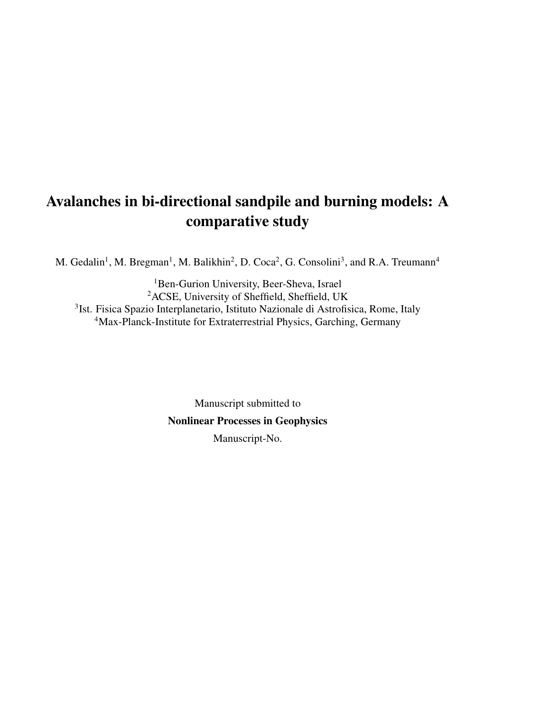# Avalanches in bi-directional sandpile and burning models: A comparative study

M. Gedalin<sup>1</sup>, M. Bregman<sup>1</sup>, M. Balikhin<sup>2</sup>, D. Coca<sup>2</sup>, G. Consolini<sup>3</sup>, and R.A. Treumann<sup>4</sup>

<sup>1</sup>Ben-Gurion University, Beer-Sheva, Israel ACSE, University of Sheffield, Sheffield, UK Ist. Fisica Spazio Interplanetario, Istituto Nazionale di Astrofisica, Rome, Italy Max-Planck-Institute for Extraterrestrial Physics, Garching, Germany

> Manuscript submitted to Nonlinear Processes in Geophysics Manuscript-No.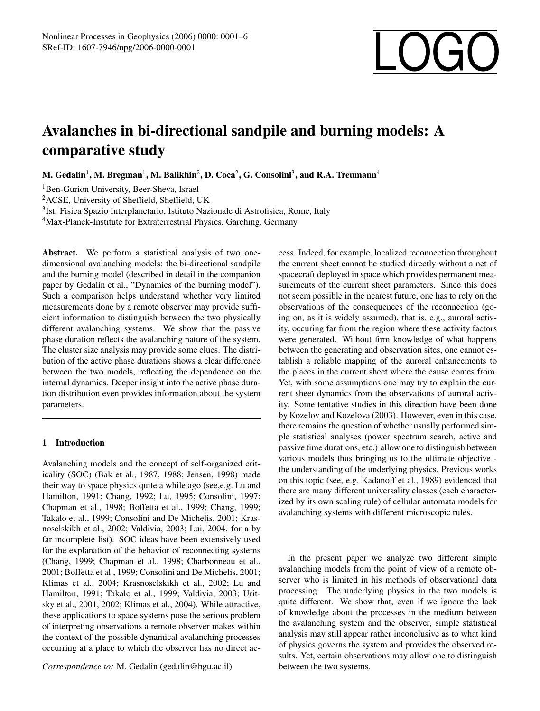# SRef-ID: 1607-7946/npg/2006-0000-0001

# Avalanches in bi-directional sandpile and burning models: A comparative study

M. Gedalin $^1,$  M. Bregman $^1,$  M. Balikhin $^2,$  D. Coca $^2,$  G. Consolini $^3,$  and R.A. Treumann $^4$ 

<sup>1</sup>Ben-Gurion University, Beer-Sheva, Israel

<sup>2</sup>ACSE, University of Sheffield, Sheffield, UK

3 Ist. Fisica Spazio Interplanetario, Istituto Nazionale di Astrofisica, Rome, Italy

<sup>4</sup>Max-Planck-Institute for Extraterrestrial Physics, Garching, Germany

Abstract. We perform a statistical analysis of two onedimensional avalanching models: the bi-directional sandpile and the burning model (described in detail in the companion paper by Gedalin et al., "Dynamics of the burning model"). Such a comparison helps understand whether very limited measurements done by a remote observer may provide sufficient information to distinguish between the two physically different avalanching systems. We show that the passive phase duration reflects the avalanching nature of the system. The cluster size analysis may provide some clues. The distribution of the active phase durations shows a clear difference between the two models, reflecting the dependence on the internal dynamics. Deeper insight into the active phase duration distribution even provides information about the system parameters.

## 1 Introduction

Avalanching models and the concept of self-organized criticality (SOC) (Bak et al., 1987, 1988; Jensen, 1998) made their way to space physics quite a while ago (see,e.g. Lu and Hamilton, 1991; Chang, 1992; Lu, 1995; Consolini, 1997; Chapman et al., 1998; Boffetta et al., 1999; Chang, 1999; Takalo et al., 1999; Consolini and De Michelis, 2001; Krasnoselskikh et al., 2002; Valdivia, 2003; Lui, 2004, for a by far incomplete list). SOC ideas have been extensively used for the explanation of the behavior of reconnecting systems (Chang, 1999; Chapman et al., 1998; Charbonneau et al., 2001; Boffetta et al., 1999; Consolini and De Michelis, 2001; Klimas et al., 2004; Krasnoselskikh et al., 2002; Lu and Hamilton, 1991; Takalo et al., 1999; Valdivia, 2003; Uritsky et al., 2001, 2002; Klimas et al., 2004). While attractive, these applications to space systems pose the serious problem of interpreting observations a remote observer makes within the context of the possible dynamical avalanching processes occurring at a place to which the observer has no direct ac-

*Correspondence to:* M. Gedalin (gedalin@bgu.ac.il)

cess. Indeed, for example, localized reconnection throughout the current sheet cannot be studied directly without a net of spacecraft deployed in space which provides permanent measurements of the current sheet parameters. Since this does not seem possible in the nearest future, one has to rely on the observations of the consequences of the reconnection (going on, as it is widely assumed), that is, e.g., auroral activity, occuring far from the region where these activity factors were generated. Without firm knowledge of what happens between the generating and observation sites, one cannot establish a reliable mapping of the auroral enhancements to the places in the current sheet where the cause comes from. Yet, with some assumptions one may try to explain the current sheet dynamics from the observations of auroral activity. Some tentative studies in this direction have been done by Kozelov and Kozelova (2003). However, even in this case, there remains the question of whether usually performed simple statistical analyses (power spectrum search, active and passive time durations, etc.) allow one to distinguish between various models thus bringing us to the ultimate objective the understanding of the underlying physics. Previous works on this topic (see, e.g. Kadanoff et al., 1989) evidenced that there are many different universality classes (each characterized by its own scaling rule) of cellular automata models for avalanching systems with different microscopic rules.

In the present paper we analyze two different simple avalanching models from the point of view of a remote observer who is limited in his methods of observational data processing. The underlying physics in the two models is quite different. We show that, even if we ignore the lack of knowledge about the processes in the medium between the avalanching system and the observer, simple statistical analysis may still appear rather inconclusive as to what kind of physics governs the system and provides the observed results. Yet, certain observations may allow one to distinguish between the two systems.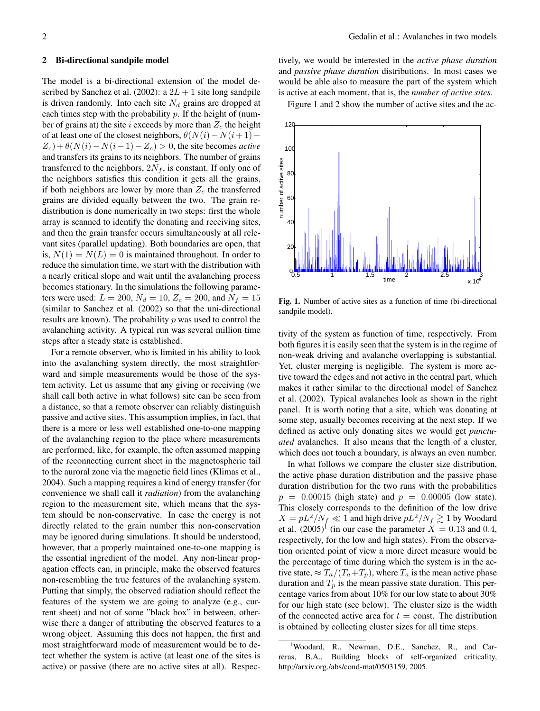#### 2 Bi-directional sandpile model

The model is a bi-directional extension of the model described by Sanchez et al. (2002): a  $2L + 1$  site long sandpile is driven randomly. Into each site  $N_d$  grains are dropped at each times step with the probability  $p$ . If the height of (number of grains at) the site i exceeds by more than  $Z_c$  the height of at least one of the closest neighbors,  $\theta(N(i)-N(i+1) Z_c$ ) +  $\theta(N(i) - N(i-1) - Z_c) > 0$ , the site becomes *active* and transfers its grains to its neighbors. The number of grains transferred to the neighbors,  $2N_f$ , is constant. If only one of the neighbors satisfies this condition it gets all the grains, if both neighbors are lower by more than  $Z_c$  the transferred grains are divided equally between the two. The grain redistribution is done numerically in two steps: first the whole array is scanned to identify the donating and receiving sites, and then the grain transfer occurs simultaneously at all relevant sites (parallel updating). Both boundaries are open, that is,  $N(1) = N(L) = 0$  is maintained throughout. In order to reduce the simulation time, we start with the distribution with a nearly critical slope and wait until the avalanching process becomes stationary. In the simulations the following parameters were used:  $L = 200$ ,  $N_d = 10$ ,  $Z_c = 200$ , and  $N_f = 15$ (similar to Sanchez et al. (2002) so that the uni-directional results are known). The probability  $p$  was used to control the avalanching activity. A typical run was several million time steps after a steady state is established.

For a remote observer, who is limited in his ability to look into the avalanching system directly, the most straightforward and simple measurements would be those of the system activity. Let us assume that any giving or receiving (we shall call both active in what follows) site can be seen from a distance, so that a remote observer can reliably distinguish passive and active sites. This assumption implies, in fact, that there is a more or less well established one-to-one mapping of the avalanching region to the place where measurements are performed, like, for example, the often assumed mapping of the reconnecting current sheet in the magnetospheric tail to the auroral zone via the magnetic field lines (Klimas et al., 2004). Such a mapping requires a kind of energy transfer (for convenience we shall call it *radiation*) from the avalanching region to the measurement site, which means that the system should be non-conservative. In case the energy is not directly related to the grain number this non-conservation may be ignored during simulations. It should be understood, however, that a properly maintained one-to-one mapping is the essential ingredient of the model. Any non-linear propagation effects can, in principle, make the observed features non-resembling the true features of the avalanching system. Putting that simply, the observed radiation should reflect the features of the system we are going to analyze (e.g., current sheet) and not of some "black box" in between, otherwise there a danger of attributing the observed features to a wrong object. Assuming this does not happen, the first and most straightforward mode of measurement would be to detect whether the system is active (at least one of the sites is active) or passive (there are no active sites at all). Respectively, we would be interested in the *active phase duration* and *passive phase duration* distributions. In most cases we would be able also to measure the part of the system which is active at each moment, that is, the *number of active sites*.

Figure 1 and 2 show the number of active sites and the ac-



Fig. 1. Number of active sites as a function of time (bi-directional sandpile model).

tivity of the system as function of time, respectively. From both figures it is easily seen that the system is in the regime of non-weak driving and avalanche overlapping is substantial. Yet, cluster merging is negligible. The system is more active toward the edges and not active in the central part, which makes it rather similar to the directional model of Sanchez et al. (2002). Typical avalanches look as shown in the right panel. It is worth noting that a site, which was donating at some step, usually becomes receiving at the next step. If we defined as active only donating sites we would get *punctuated* avalanches. It also means that the length of a cluster, which does not touch a boundary, is always an even number.

In what follows we compare the cluster size distribution, the active phase duration distribution and the passive phase duration distribution for the two runs with the probabilities  $p = 0.00015$  (high state) and  $p = 0.00005$  (low state). This closely corresponds to the definition of the low drive  $X = pL^2/N_f \ll 1$  and high drive  $pL^2/N_f \gtrsim 1$  by Woodard et al.  $(2005)^{1}$  (in our case the parameter  $X = 0.13$  and 0.4, respectively, for the low and high states). From the observation oriented point of view a more direct measure would be the percentage of time during which the system is in the active state,  $\approx T_a/(T_a+T_p)$ , where  $T_a$  is the mean active phase duration and  $T_p$  is the mean passive state duration. This percentage varies from about 10% for our low state to about 30% for our high state (see below). The cluster size is the width of the connected active area for  $t = \text{const.}$  The distribution is obtained by collecting cluster sizes for all time steps.

<sup>&</sup>lt;sup>1</sup>Woodard, R., Newman, D.E., Sanchez, R., and Carreras, B.A., Building blocks of self-organized criticality, http://arxiv.org./abs/cond-mat/0503159, 2005.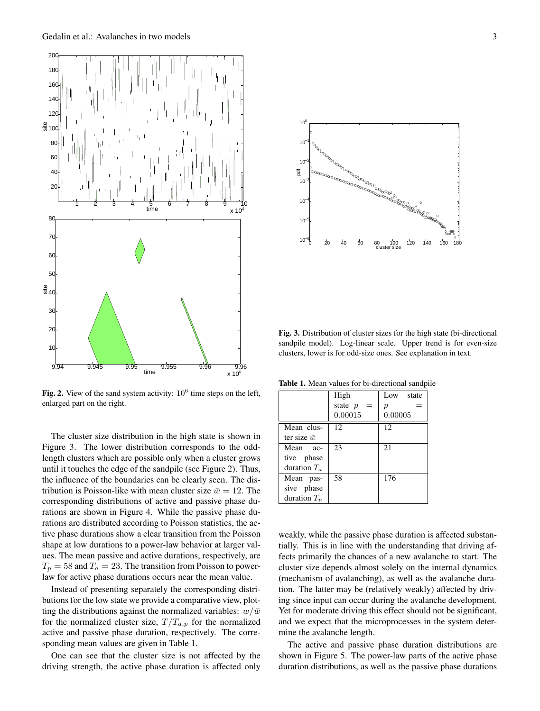

Fig. 2. View of the sand system activity:  $10^6$  time steps on the left, enlarged part on the right.

The cluster size distribution in the high state is shown in Figure 3. The lower distribution corresponds to the oddlength clusters which are possible only when a cluster grows until it touches the edge of the sandpile (see Figure 2). Thus, the influence of the boundaries can be clearly seen. The distribution is Poisson-like with mean cluster size  $\bar{w} = 12$ . The corresponding distributions of active and passive phase durations are shown in Figure 4. While the passive phase durations are distributed according to Poisson statistics, the active phase durations show a clear transition from the Poisson shape at low durations to a power-law behavior at larger values. The mean passive and active durations, respectively, are  $T_p = 58$  and  $T_a = 23$ . The transition from Poisson to powerlaw for active phase durations occurs near the mean value.

Instead of presenting separately the corresponding distributions for the low state we provide a comparative view, plotting the distributions against the normalized variables:  $w/\bar{w}$ for the normalized cluster size,  $T/T_{a,p}$  for the normalized active and passive phase duration, respectively. The corresponding mean values are given in Table 1.

One can see that the cluster size is not affected by the driving strength, the active phase duration is affected only



Fig. 3. Distribution of cluster sizes for the high state (bi-directional sandpile model). Log-linear scale. Upper trend is for even-size clusters, lower is for odd-size ones. See explanation in text.

Table 1. Mean values for bi-directional sandpile

|                    | High             | Low state        |
|--------------------|------------------|------------------|
|                    | state $p$<br>$=$ | $\boldsymbol{p}$ |
|                    | 0.00015          | 0.00005          |
| Mean clus-         | 12               | 12               |
| ter size $\bar{w}$ |                  |                  |
| Mean ac-           | 23               | 21               |
| tive phase         |                  |                  |
| duration $T_a$     |                  |                  |
| Mean pas-          | 58               | 176              |
| sive phase         |                  |                  |
| duration $T_n$     |                  |                  |

weakly, while the passive phase duration is affected substantially. This is in line with the understanding that driving affects primarily the chances of a new avalanche to start. The cluster size depends almost solely on the internal dynamics (mechanism of avalanching), as well as the avalanche duration. The latter may be (relatively weakly) affected by driving since input can occur during the avalanche development. Yet for moderate driving this effect should not be significant, and we expect that the microprocesses in the system determine the avalanche length.

The active and passive phase duration distributions are shown in Figure 5. The power-law parts of the active phase duration distributions, as well as the passive phase durations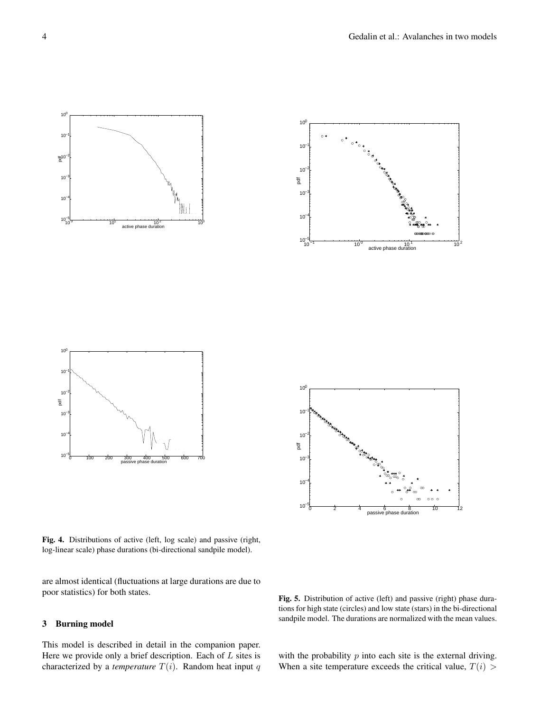



Fig. 4. Distributions of active (left, log scale) and passive (right, log-linear scale) phase durations (bi-directional sandpile model).

10<sup>-5</sup> 100 200 300 400 500 600 700<br>passive phase duration

are almost identical (fluctuations at large durations are due to poor statistics) for both states.

## 3 Burning model

This model is described in detail in the companion paper. Here we provide only a brief description. Each of  $L$  sites is characterized by a *temperature*  $T(i)$ . Random heat input q

Fig. 5. Distribution of active (left) and passive (right) phase durations for high state (circles) and low state (stars) in the bi-directional sandpile model. The durations are normalized with the mean values.

with the probability  $p$  into each site is the external driving. When a site temperature exceeds the critical value,  $T(i)$ 

 $10<sup>6</sup>$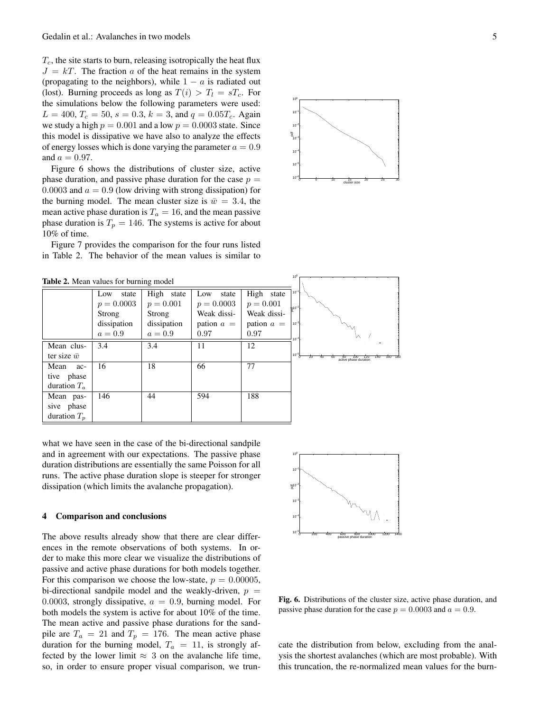$T_c$ , the site starts to burn, releasing isotropically the heat flux  $J = kT$ . The fraction a of the heat remains in the system (propagating to the neighbors), while  $1 - a$  is radiated out (lost). Burning proceeds as long as  $T(i) > T_l = sT_c$ . For the simulations below the following parameters were used:  $L = 400, T_c = 50, s = 0.3, k = 3,$  and  $q = 0.05T_c$ . Again we study a high  $p = 0.001$  and a low  $p = 0.0003$  state. Since this model is dissipative we have also to analyze the effects of energy losses which is done varying the parameter  $a = 0.9$ and  $a = 0.97$ .

Figure 6 shows the distributions of cluster size, active phase duration, and passive phase duration for the case  $p =$ 0.0003 and  $a = 0.9$  (low driving with strong dissipation) for the burning model. The mean cluster size is  $\bar{w} = 3.4$ , the mean active phase duration is  $T_a = 16$ , and the mean passive phase duration is  $T_p = 146$ . The systems is active for about 10% of time.

Figure 7 provides the comparison for the four runs listed in Table 2. The behavior of the mean values is similar to



what we have seen in the case of the bi-directional sandpile and in agreement with our expectations. The passive phase duration distributions are essentially the same Poisson for all runs. The active phase duration slope is steeper for stronger dissipation (which limits the avalanche propagation).

#### 4 Comparison and conclusions

The above results already show that there are clear differences in the remote observations of both systems. In order to make this more clear we visualize the distributions of passive and active phase durations for both models together. For this comparison we choose the low-state,  $p = 0.00005$ , bi-directional sandpile model and the weakly-driven,  $p =$ 0.0003, strongly dissipative,  $a = 0.9$ , burning model. For both models the system is active for about 10% of the time. The mean active and passive phase durations for the sandpile are  $T_a = 21$  and  $T_p = 176$ . The mean active phase duration for the burning model,  $T_a = 11$ , is strongly affected by the lower limit  $\approx$  3 on the avalanche life time, so, in order to ensure proper visual comparison, we trun-



Fig. 6. Distributions of the cluster size, active phase duration, and passive phase duration for the case  $p = 0.0003$  and  $a = 0.9$ .

cate the distribution from below, excluding from the analysis the shortest avalanches (which are most probable). With this truncation, the re-normalized mean values for the burn-

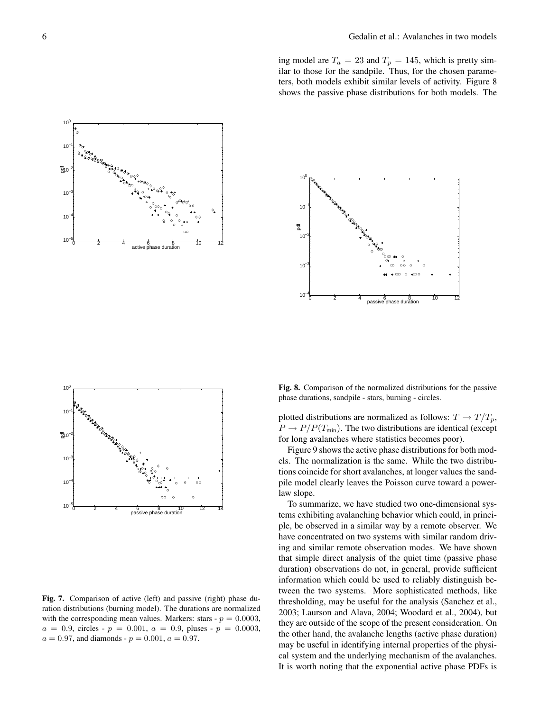ing model are  $T_a = 23$  and  $T_p = 145$ , which is pretty similar to those for the sandpile. Thus, for the chosen parameters, both models exhibit similar levels of activity. Figure 8 shows the passive phase distributions for both models. The







Fig. 7. Comparison of active (left) and passive (right) phase duration distributions (burning model). The durations are normalized with the corresponding mean values. Markers: stars -  $p = 0.0003$ ,  $a = 0.9$ , circles -  $p = 0.001$ ,  $a = 0.9$ , pluses -  $p = 0.0003$ ,  $a = 0.97$ , and diamonds -  $p = 0.001$ ,  $a = 0.97$ .

Fig. 8. Comparison of the normalized distributions for the passive phase durations, sandpile - stars, burning - circles.

plotted distributions are normalized as follows:  $T \to T/T_p$ ,  $P \rightarrow P/P(T_{min})$ . The two distributions are identical (except for long avalanches where statistics becomes poor).

Figure 9 shows the active phase distributions for both models. The normalization is the same. While the two distributions coincide for short avalanches, at longer values the sandpile model clearly leaves the Poisson curve toward a powerlaw slope.

To summarize, we have studied two one-dimensional systems exhibiting avalanching behavior which could, in principle, be observed in a similar way by a remote observer. We have concentrated on two systems with similar random driving and similar remote observation modes. We have shown that simple direct analysis of the quiet time (passive phase duration) observations do not, in general, provide sufficient information which could be used to reliably distinguish between the two systems. More sophisticated methods, like thresholding, may be useful for the analysis (Sanchez et al., 2003; Laurson and Alava, 2004; Woodard et al., 2004), but they are outside of the scope of the present consideration. On the other hand, the avalanche lengths (active phase duration) may be useful in identifying internal properties of the physical system and the underlying mechanism of the avalanches. It is worth noting that the exponential active phase PDFs is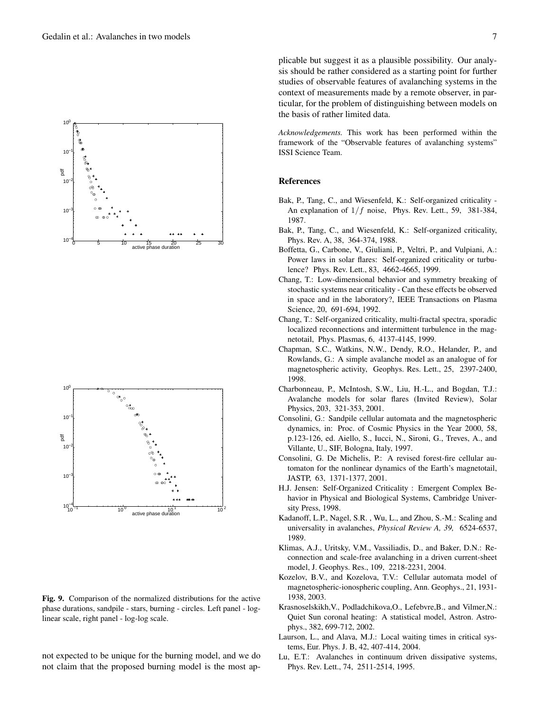



Fig. 9. Comparison of the normalized distributions for the active phase durations, sandpile - stars, burning - circles. Left panel - loglinear scale, right panel - log-log scale.

not expected to be unique for the burning model, and we do not claim that the proposed burning model is the most applicable but suggest it as a plausible possibility. Our analysis should be rather considered as a starting point for further studies of observable features of avalanching systems in the context of measurements made by a remote observer, in particular, for the problem of distinguishing between models on the basis of rather limited data.

*Acknowledgements.* This work has been performed within the framework of the "Observable features of avalanching systems" ISSI Science Team.

## References

- Bak, P., Tang, C., and Wiesenfeld, K.: Self-organized criticality An explanation of  $1/f$  noise, Phys. Rev. Lett., 59, 381-384, 1987.
- Bak, P., Tang, C., and Wiesenfeld, K.: Self-organized criticality, Phys. Rev. A, 38, 364-374, 1988.
- Boffetta, G., Carbone, V., Giuliani, P., Veltri, P., and Vulpiani, A.: Power laws in solar flares: Self-organized criticality or turbulence? Phys. Rev. Lett., 83, 4662-4665, 1999.
- Chang, T.: Low-dimensional behavior and symmetry breaking of stochastic systems near criticality - Can these effects be observed in space and in the laboratory?, IEEE Transactions on Plasma Science, 20, 691-694, 1992.
- Chang, T.: Self-organized criticality, multi-fractal spectra, sporadic localized reconnections and intermittent turbulence in the magnetotail, Phys. Plasmas, 6, 4137-4145, 1999.
- Chapman, S.C., Watkins, N.W., Dendy, R.O., Helander, P., and Rowlands, G.: A simple avalanche model as an analogue of for magnetospheric activity, Geophys. Res. Lett., 25, 2397-2400, 1998.
- Charbonneau, P., McIntosh, S.W., Liu, H.-L., and Bogdan, T.J.: Avalanche models for solar flares (Invited Review), Solar Physics, 203, 321-353, 2001.
- Consolini, G.: Sandpile cellular automata and the magnetospheric dynamics, in: Proc. of Cosmic Physics in the Year 2000, 58, p.123-126, ed. Aiello, S., Iucci, N., Sironi, G., Treves, A., and Villante, U., SIF, Bologna, Italy, 1997.
- Consolini, G. De Michelis, P.: A revised forest-fire cellular automaton for the nonlinear dynamics of the Earth's magnetotail, JASTP, 63, 1371-1377, 2001.
- H.J. Jensen: Self-Organized Criticality : Emergent Complex Behavior in Physical and Biological Systems, Cambridge University Press, 1998.
- Kadanoff, L.P., Nagel, S.R. , Wu, L., and Zhou, S.-M.: Scaling and universality in avalanches, *Physical Review A, 39,* 6524-6537, 1989.
- Klimas, A.J., Uritsky, V.M., Vassiliadis, D., and Baker, D.N.: Reconnection and scale-free avalanching in a driven current-sheet model, J. Geophys. Res., 109, 2218-2231, 2004.
- Kozelov, B.V., and Kozelova, T.V.: Cellular automata model of magnetospheric-ionospheric coupling, Ann. Geophys., 21, 1931- 1938, 2003.
- Krasnoselskikh,V., Podladchikova,O., Lefebvre,B., and Vilmer,N.: Quiet Sun coronal heating: A statistical model, Astron. Astrophys., 382, 699-712, 2002.
- Laurson, L., and Alava, M.J.: Local waiting times in critical systems, Eur. Phys. J. B, 42, 407-414, 2004.
- Lu, E.T.: Avalanches in continuum driven dissipative systems, Phys. Rev. Lett., 74, 2511-2514, 1995.